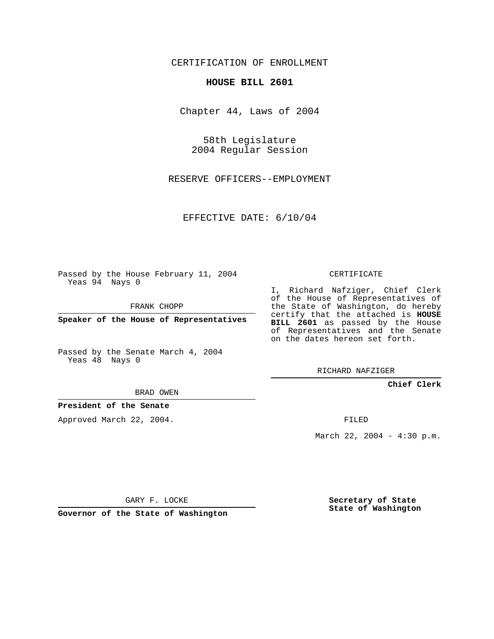## CERTIFICATION OF ENROLLMENT

#### **HOUSE BILL 2601**

Chapter 44, Laws of 2004

58th Legislature 2004 Regular Session

RESERVE OFFICERS--EMPLOYMENT

EFFECTIVE DATE: 6/10/04

Passed by the House February 11, 2004 Yeas 94 Nays 0

FRANK CHOPP

**Speaker of the House of Representatives**

Passed by the Senate March 4, 2004 Yeas 48 Nays 0

#### BRAD OWEN

### **President of the Senate**

Approved March 22, 2004.

CERTIFICATE

I, Richard Nafziger, Chief Clerk of the House of Representatives of the State of Washington, do hereby certify that the attached is **HOUSE BILL 2601** as passed by the House of Representatives and the Senate on the dates hereon set forth.

RICHARD NAFZIGER

**Chief Clerk**

FILED

March 22, 2004 - 4:30 p.m.

GARY F. LOCKE

**Governor of the State of Washington**

**Secretary of State State of Washington**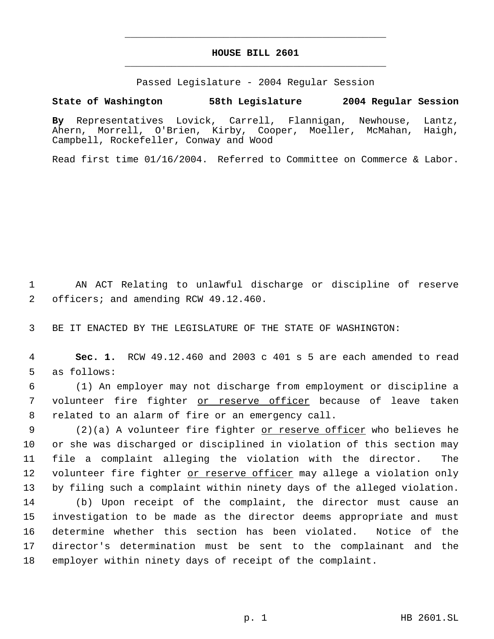# **HOUSE BILL 2601** \_\_\_\_\_\_\_\_\_\_\_\_\_\_\_\_\_\_\_\_\_\_\_\_\_\_\_\_\_\_\_\_\_\_\_\_\_\_\_\_\_\_\_\_\_

\_\_\_\_\_\_\_\_\_\_\_\_\_\_\_\_\_\_\_\_\_\_\_\_\_\_\_\_\_\_\_\_\_\_\_\_\_\_\_\_\_\_\_\_\_

Passed Legislature - 2004 Regular Session

### **State of Washington 58th Legislature 2004 Regular Session**

**By** Representatives Lovick, Carrell, Flannigan, Newhouse, Lantz, Ahern, Morrell, O'Brien, Kirby, Cooper, Moeller, McMahan, Haigh, Campbell, Rockefeller, Conway and Wood

Read first time 01/16/2004. Referred to Committee on Commerce & Labor.

 1 AN ACT Relating to unlawful discharge or discipline of reserve 2 officers; and amending RCW 49.12.460.

3 BE IT ENACTED BY THE LEGISLATURE OF THE STATE OF WASHINGTON:

 4 **Sec. 1.** RCW 49.12.460 and 2003 c 401 s 5 are each amended to read 5 as follows:

 6 (1) An employer may not discharge from employment or discipline a 7 volunteer fire fighter or reserve officer because of leave taken 8 related to an alarm of fire or an emergency call.

9 (2)(a) A volunteer fire fighter or reserve officer who believes he 10 or she was discharged or disciplined in violation of this section may 11 file a complaint alleging the violation with the director. The 12 volunteer fire fighter or reserve officer may allege a violation only 13 by filing such a complaint within ninety days of the alleged violation.

 (b) Upon receipt of the complaint, the director must cause an investigation to be made as the director deems appropriate and must determine whether this section has been violated. Notice of the director's determination must be sent to the complainant and the employer within ninety days of receipt of the complaint.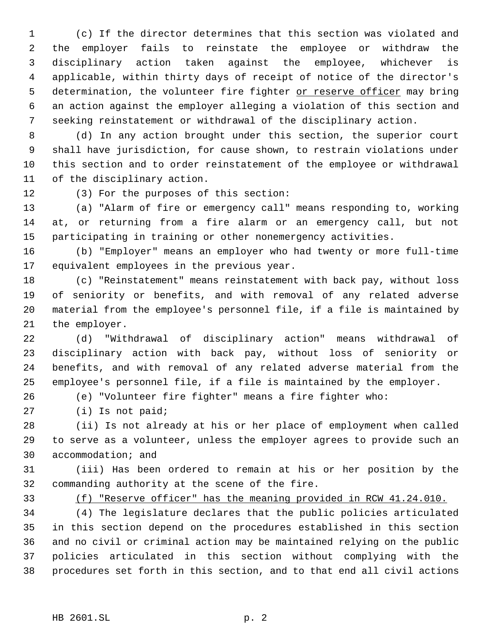(c) If the director determines that this section was violated and the employer fails to reinstate the employee or withdraw the disciplinary action taken against the employee, whichever is applicable, within thirty days of receipt of notice of the director's 5 determination, the volunteer fire fighter or reserve officer may bring an action against the employer alleging a violation of this section and seeking reinstatement or withdrawal of the disciplinary action.

 (d) In any action brought under this section, the superior court shall have jurisdiction, for cause shown, to restrain violations under this section and to order reinstatement of the employee or withdrawal of the disciplinary action.

(3) For the purposes of this section:

 (a) "Alarm of fire or emergency call" means responding to, working at, or returning from a fire alarm or an emergency call, but not participating in training or other nonemergency activities.

 (b) "Employer" means an employer who had twenty or more full-time equivalent employees in the previous year.

 (c) "Reinstatement" means reinstatement with back pay, without loss of seniority or benefits, and with removal of any related adverse material from the employee's personnel file, if a file is maintained by the employer.

 (d) "Withdrawal of disciplinary action" means withdrawal of disciplinary action with back pay, without loss of seniority or benefits, and with removal of any related adverse material from the employee's personnel file, if a file is maintained by the employer.

(e) "Volunteer fire fighter" means a fire fighter who:

(i) Is not paid;

 (ii) Is not already at his or her place of employment when called to serve as a volunteer, unless the employer agrees to provide such an accommodation; and

 (iii) Has been ordered to remain at his or her position by the commanding authority at the scene of the fire.

(f) "Reserve officer" has the meaning provided in RCW 41.24.010.

 (4) The legislature declares that the public policies articulated in this section depend on the procedures established in this section and no civil or criminal action may be maintained relying on the public policies articulated in this section without complying with the procedures set forth in this section, and to that end all civil actions